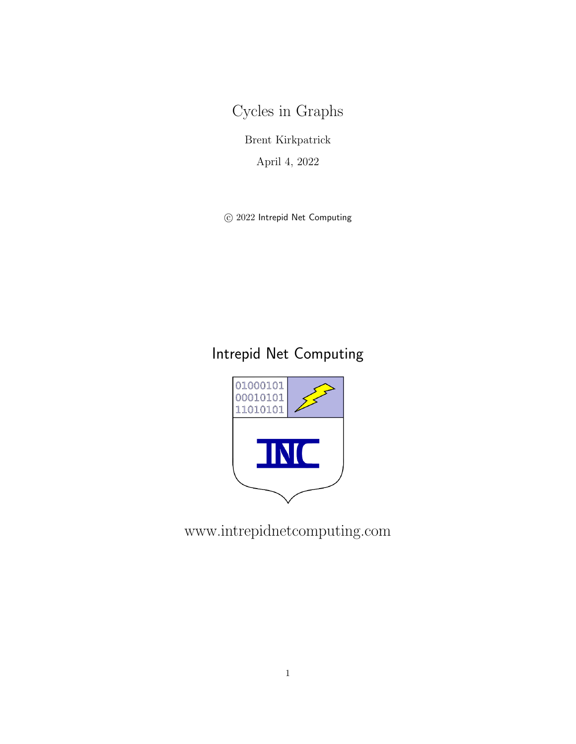Cycles in Graphs

Brent Kirkpatrick

April 4, 2022

 $\odot$  2022 Intrepid Net Computing

# Intrepid Net Computing



www.intrepidnetcomputing.com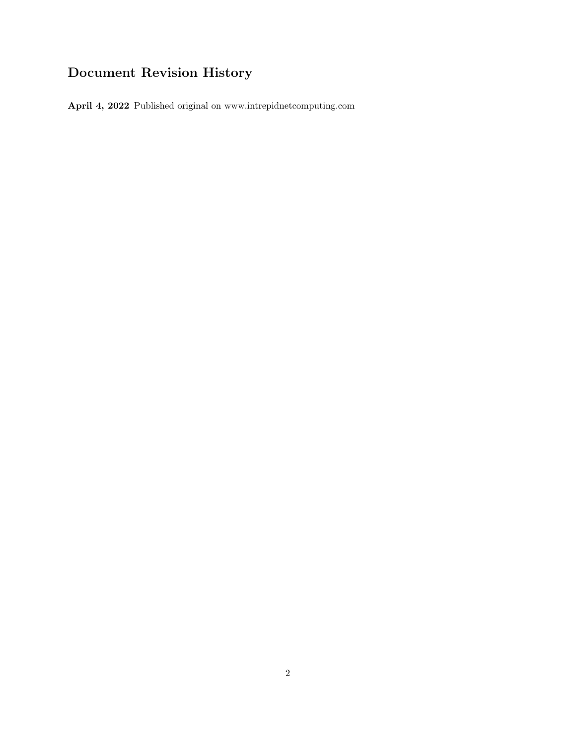## Document Revision History

April 4, 2022 Published original on www.intrepidnetcomputing.com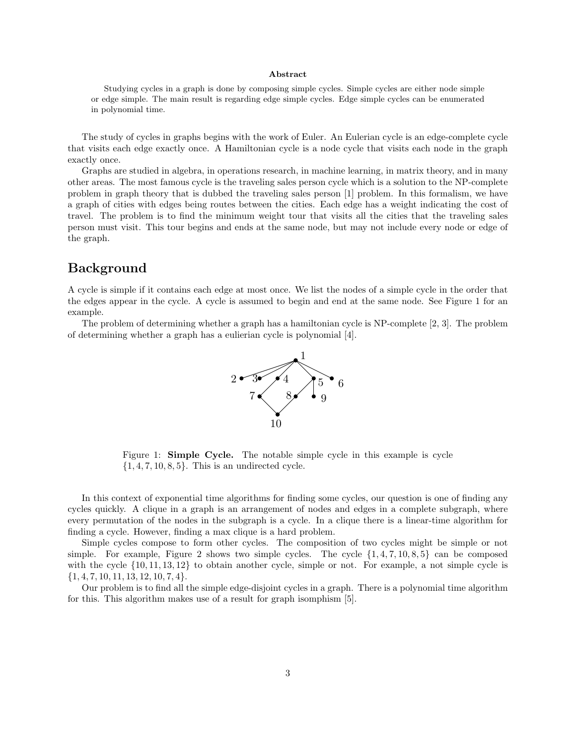#### Abstract

Studying cycles in a graph is done by composing simple cycles. Simple cycles are either node simple or edge simple. The main result is regarding edge simple cycles. Edge simple cycles can be enumerated in polynomial time.

The study of cycles in graphs begins with the work of Euler. An Eulerian cycle is an edge-complete cycle that visits each edge exactly once. A Hamiltonian cycle is a node cycle that visits each node in the graph exactly once.

Graphs are studied in algebra, in operations research, in machine learning, in matrix theory, and in many other areas. The most famous cycle is the traveling sales person cycle which is a solution to the NP-complete problem in graph theory that is dubbed the traveling sales person [1] problem. In this formalism, we have a graph of cities with edges being routes between the cities. Each edge has a weight indicating the cost of travel. The problem is to find the minimum weight tour that visits all the cities that the traveling sales person must visit. This tour begins and ends at the same node, but may not include every node or edge of the graph.

#### Background

A cycle is simple if it contains each edge at most once. We list the nodes of a simple cycle in the order that the edges appear in the cycle. A cycle is assumed to begin and end at the same node. See Figure 1 for an example.

The problem of determining whether a graph has a hamiltonian cycle is NP-complete [2, 3]. The problem of determining whether a graph has a eulierian cycle is polynomial [4].



Figure 1: Simple Cycle. The notable simple cycle in this example is cycle  $\{1, 4, 7, 10, 8, 5\}$ . This is an undirected cycle.

In this context of exponential time algorithms for finding some cycles, our question is one of finding any cycles quickly. A clique in a graph is an arrangement of nodes and edges in a complete subgraph, where every permutation of the nodes in the subgraph is a cycle. In a clique there is a linear-time algorithm for finding a cycle. However, finding a max clique is a hard problem.

Simple cycles compose to form other cycles. The composition of two cycles might be simple or not simple. For example, Figure 2 shows two simple cycles. The cycle  $\{1, 4, 7, 10, 8, 5\}$  can be composed with the cycle  $\{10, 11, 13, 12\}$  to obtain another cycle, simple or not. For example, a not simple cycle is  $\{1, 4, 7, 10, 11, 13, 12, 10, 7, 4\}.$ 

Our problem is to find all the simple edge-disjoint cycles in a graph. There is a polynomial time algorithm for this. This algorithm makes use of a result for graph isomphism [5].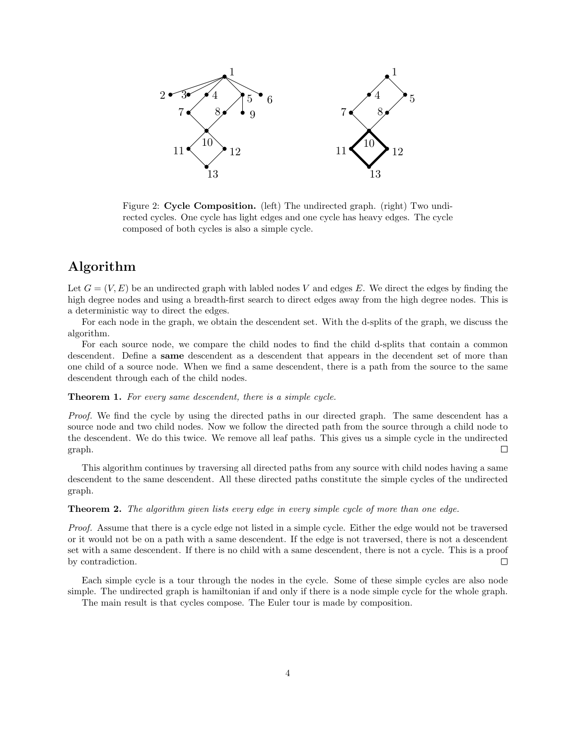

Figure 2: Cycle Composition. (left) The undirected graph. (right) Two undirected cycles. One cycle has light edges and one cycle has heavy edges. The cycle composed of both cycles is also a simple cycle.

### Algorithm

Let  $G = (V, E)$  be an undirected graph with labled nodes V and edges E. We direct the edges by finding the high degree nodes and using a breadth-first search to direct edges away from the high degree nodes. This is a deterministic way to direct the edges.

For each node in the graph, we obtain the descendent set. With the d-splits of the graph, we discuss the algorithm.

For each source node, we compare the child nodes to find the child d-splits that contain a common descendent. Define a same descendent as a descendent that appears in the decendent set of more than one child of a source node. When we find a same descendent, there is a path from the source to the same descendent through each of the child nodes.

#### Theorem 1. For every same descendent, there is a simple cycle.

Proof. We find the cycle by using the directed paths in our directed graph. The same descendent has a source node and two child nodes. Now we follow the directed path from the source through a child node to the descendent. We do this twice. We remove all leaf paths. This gives us a simple cycle in the undirected graph. П

This algorithm continues by traversing all directed paths from any source with child nodes having a same descendent to the same descendent. All these directed paths constitute the simple cycles of the undirected graph.

#### Theorem 2. The algorithm given lists every edge in every simple cycle of more than one edge.

Proof. Assume that there is a cycle edge not listed in a simple cycle. Either the edge would not be traversed or it would not be on a path with a same descendent. If the edge is not traversed, there is not a descendent set with a same descendent. If there is no child with a same descendent, there is not a cycle. This is a proof by contradiction.  $\Box$ 

Each simple cycle is a tour through the nodes in the cycle. Some of these simple cycles are also node simple. The undirected graph is hamiltonian if and only if there is a node simple cycle for the whole graph.

The main result is that cycles compose. The Euler tour is made by composition.